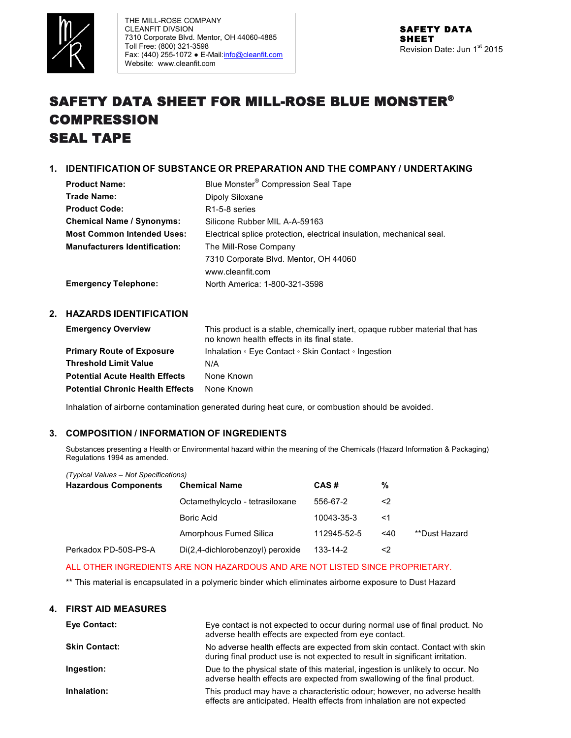

# SAFETY DATA SHEET FOR MILL-ROSE BLUE MONSTER® COMPRESSION SEAL TAPE

# **1. IDENTIFICATION OF SUBSTANCE OR PREPARATION AND THE COMPANY / UNDERTAKING**

| <b>Product Name:</b>                 | Blue Monster <sup>®</sup> Compression Seal Tape                       |
|--------------------------------------|-----------------------------------------------------------------------|
| Trade Name:                          | Dipoly Siloxane                                                       |
| <b>Product Code:</b>                 | R <sub>1</sub> -5-8 series                                            |
| <b>Chemical Name / Synonyms:</b>     | Silicone Rubber MIL A-A-59163                                         |
| <b>Most Common Intended Uses:</b>    | Electrical splice protection, electrical insulation, mechanical seal. |
| <b>Manufacturers Identification:</b> | The Mill-Rose Company                                                 |
|                                      | 7310 Corporate Blvd. Mentor, OH 44060                                 |
|                                      | www.cleanfit.com                                                      |
| <b>Emergency Telephone:</b>          | North America: 1-800-321-3598                                         |

# **2. HAZARDS IDENTIFICATION**

| <b>Emergency Overview</b>               | This product is a stable, chemically inert, opaque rubber material that has<br>no known health effects in its final state. |
|-----------------------------------------|----------------------------------------------------------------------------------------------------------------------------|
| <b>Primary Route of Exposure</b>        | Inhalation • Eye Contact • Skin Contact • Ingestion                                                                        |
| <b>Threshold Limit Value</b>            | N/A                                                                                                                        |
| <b>Potential Acute Health Effects</b>   | None Known                                                                                                                 |
| <b>Potential Chronic Health Effects</b> | None Known                                                                                                                 |

Inhalation of airborne contamination generated during heat cure, or combustion should be avoided.

## **3. COMPOSITION / INFORMATION OF INGREDIENTS**

Substances presenting a Health or Environmental hazard within the meaning of the Chemicals (Hazard Information & Packaging) Regulations 1994 as amended.

| (Typical Values - Not Specifications) |                                  |             |        |               |
|---------------------------------------|----------------------------------|-------------|--------|---------------|
| <b>Hazardous Components</b>           | <b>Chemical Name</b>             | CAS#        | %      |               |
|                                       | Octamethylcyclo - tetrasiloxane  | 556-67-2    | <2     |               |
|                                       | Boric Acid                       | 10043-35-3  | <1     |               |
|                                       | Amorphous Fumed Silica           | 112945-52-5 | $<$ 40 | **Dust Hazard |
| Perkadox PD-50S-PS-A                  | Di(2,4-dichlorobenzoyl) peroxide | 133-14-2    | <2     |               |

## ALL OTHER INGREDIENTS ARE NON HAZARDOUS AND ARE NOT LISTED SINCE PROPRIETARY.

\*\* This material is encapsulated in a polymeric binder which eliminates airborne exposure to Dust Hazard

## **4. FIRST AID MEASURES**

| <b>Eve Contact:</b>  | Eye contact is not expected to occur during normal use of final product. No<br>adverse health effects are expected from eye contact.                         |
|----------------------|--------------------------------------------------------------------------------------------------------------------------------------------------------------|
| <b>Skin Contact:</b> | No adverse health effects are expected from skin contact. Contact with skin<br>during final product use is not expected to result in significant irritation. |
| Ingestion:           | Due to the physical state of this material, ingestion is unlikely to occur. No<br>adverse health effects are expected from swallowing of the final product.  |
| Inhalation:          | This product may have a characteristic odour; however, no adverse health<br>effects are anticipated. Health effects from inhalation are not expected         |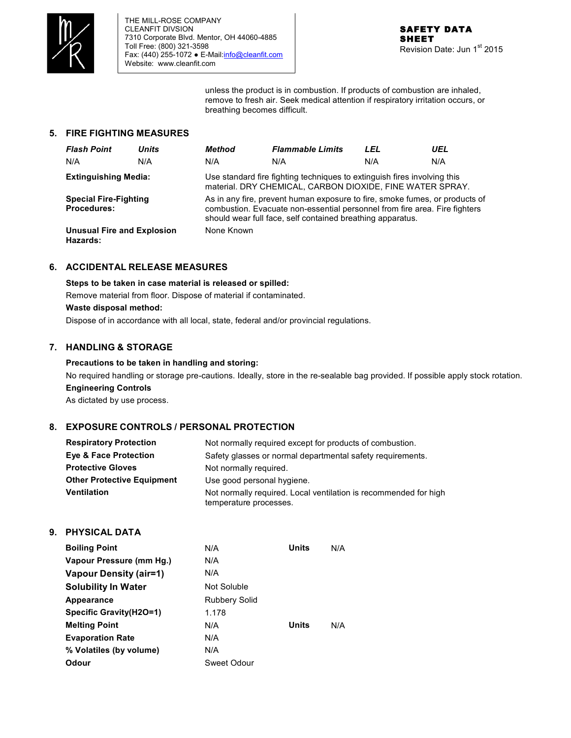

unless the product is in combustion. If products of combustion are inhaled, remove to fresh air. Seek medical attention if respiratory irritation occurs, or breathing becomes difficult.

# **5. FIRE FIGHTING MEASURES**

| <b>Flash Point</b>                                 | <b>Units</b> | Method     | <b>Flammable Limits</b>                                                                                                                                                                                                 | LEL | UEL |
|----------------------------------------------------|--------------|------------|-------------------------------------------------------------------------------------------------------------------------------------------------------------------------------------------------------------------------|-----|-----|
| N/A                                                | N/A          | N/A        | N/A                                                                                                                                                                                                                     | N/A | N/A |
| <b>Extinguishing Media:</b>                        |              |            | Use standard fire fighting techniques to extinguish fires involving this<br>material. DRY CHEMICAL, CARBON DIOXIDE, FINE WATER SPRAY.                                                                                   |     |     |
| <b>Special Fire-Fighting</b><br><b>Procedures:</b> |              |            | As in any fire, prevent human exposure to fire, smoke fumes, or products of<br>combustion. Evacuate non-essential personnel from fire area. Fire fighters<br>should wear full face, self contained breathing apparatus. |     |     |
| <b>Unusual Fire and Explosion</b><br>Hazards:      |              | None Known |                                                                                                                                                                                                                         |     |     |

# **6. ACCIDENTAL RELEASE MEASURES**

**Steps to be taken in case material is released or spilled:** 

Remove material from floor. Dispose of material if contaminated.

### **Waste disposal method:**

Dispose of in accordance with all local, state, federal and/or provincial regulations.

# **7. HANDLING & STORAGE**

# **Precautions to be taken in handling and storing:**

No required handling or storage pre-cautions. Ideally, store in the re-sealable bag provided. If possible apply stock rotation. **Engineering Controls**

As dictated by use process.

# **8. EXPOSURE CONTROLS / PERSONAL PROTECTION**

| <b>Respiratory Protection</b>     | Not normally required except for products of combustion.                                   |
|-----------------------------------|--------------------------------------------------------------------------------------------|
| <b>Eye &amp; Face Protection</b>  | Safety glasses or normal departmental safety requirements.                                 |
| <b>Protective Gloves</b>          | Not normally required.                                                                     |
| <b>Other Protective Equipment</b> | Use good personal hygiene.                                                                 |
| <b>Ventilation</b>                | Not normally required. Local ventilation is recommended for high<br>temperature processes. |

## **9. PHYSICAL DATA**

| <b>Boiling Point</b>          | N/A                  | Units | N/A |
|-------------------------------|----------------------|-------|-----|
| Vapour Pressure (mm Hq.)      | N/A                  |       |     |
| <b>Vapour Density (air=1)</b> | N/A                  |       |     |
| <b>Solubility In Water</b>    | Not Soluble          |       |     |
| Appearance                    | <b>Rubbery Solid</b> |       |     |
| Specific Gravity (H2O=1)      | 1.178                |       |     |
| <b>Melting Point</b>          | N/A                  | Units | N/A |
| <b>Evaporation Rate</b>       | N/A                  |       |     |
| % Volatiles (by volume)       | N/A                  |       |     |
| Odour                         | Sweet Odour          |       |     |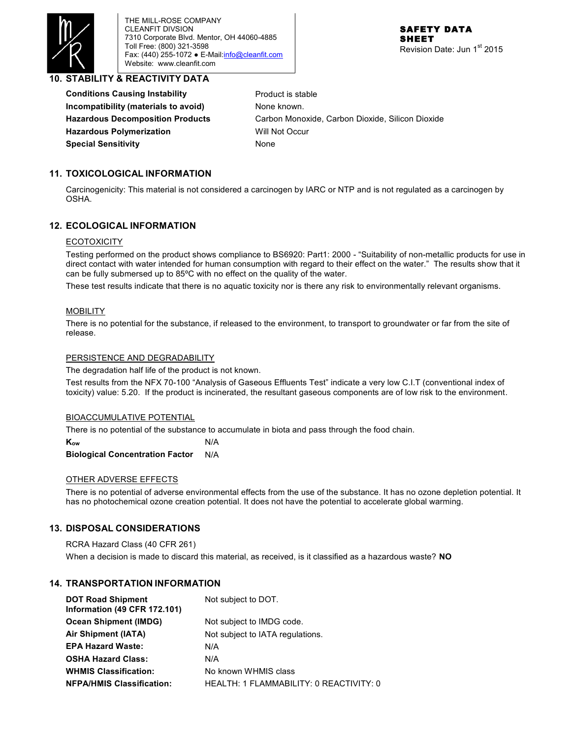

THE MILL-ROSE COMPANY CLEANFIT DIVSION 7310 Corporate Blvd. Mentor, OH 44060-4885 Toll Free: (800) 321-3598 Fax: (440) 255-1072 . E-Mail: info@cleanfit.com Website: www.cleanfit.com

## **10. STABILITY & REACTIVITY DATA**

**Conditions Causing Instability** Product is stable **Incompatibility (materials to avoid)** None known. **Hazardous Polymerization** Will Not Occur **Special Sensitivity** None

**Hazardous Decomposition Products** Carbon Monoxide, Carbon Dioxide, Silicon Dioxide

# **11. TOXICOLOGICAL INFORMATION**

Carcinogenicity: This material is not considered a carcinogen by IARC or NTP and is not regulated as a carcinogen by OSHA.

# **12. ECOLOGICAL INFORMATION**

#### **ECOTOXICITY**

Testing performed on the product shows compliance to BS6920: Part1: 2000 - "Suitability of non-metallic products for use in direct contact with water intended for human consumption with regard to their effect on the water." The results show that it can be fully submersed up to 85ºC with no effect on the quality of the water.

These test results indicate that there is no aquatic toxicity nor is there any risk to environmentally relevant organisms.

#### MOBILITY

There is no potential for the substance, if released to the environment, to transport to groundwater or far from the site of release.

#### PERSISTENCE AND DEGRADABILITY

The degradation half life of the product is not known.

Test results from the NFX 70-100 "Analysis of Gaseous Effluents Test" indicate a very low C.I.T (conventional index of toxicity) value: 5.20. If the product is incinerated, the resultant gaseous components are of low risk to the environment.

#### BIOACCUMULATIVE POTENTIAL

There is no potential of the substance to accumulate in biota and pass through the food chain.

**K<sub>ow</sub>** N/A **Biological Concentration Factor** N/A

#### OTHER ADVERSE EFFECTS

There is no potential of adverse environmental effects from the use of the substance. It has no ozone depletion potential. It has no photochemical ozone creation potential. It does not have the potential to accelerate global warming.

## **13. DISPOSAL CONSIDERATIONS**

RCRA Hazard Class (40 CFR 261) When a decision is made to discard this material, as received, is it classified as a hazardous waste? **NO**

# **14. TRANSPORTATION INFORMATION**

| <b>DOT Road Shipment</b><br><b>Information (49 CFR 172.101)</b> | Not subject to DOT.                     |
|-----------------------------------------------------------------|-----------------------------------------|
| <b>Ocean Shipment (IMDG)</b>                                    | Not subject to IMDG code.               |
| Air Shipment (IATA)                                             | Not subject to IATA regulations.        |
| <b>EPA Hazard Waste:</b>                                        | N/A                                     |
| <b>OSHA Hazard Class:</b>                                       | N/A                                     |
| <b>WHMIS Classification:</b>                                    | No known WHMIS class                    |
| <b>NFPA/HMIS Classification:</b>                                | HEALTH: 1 FLAMMABILITY: 0 REACTIVITY: 0 |